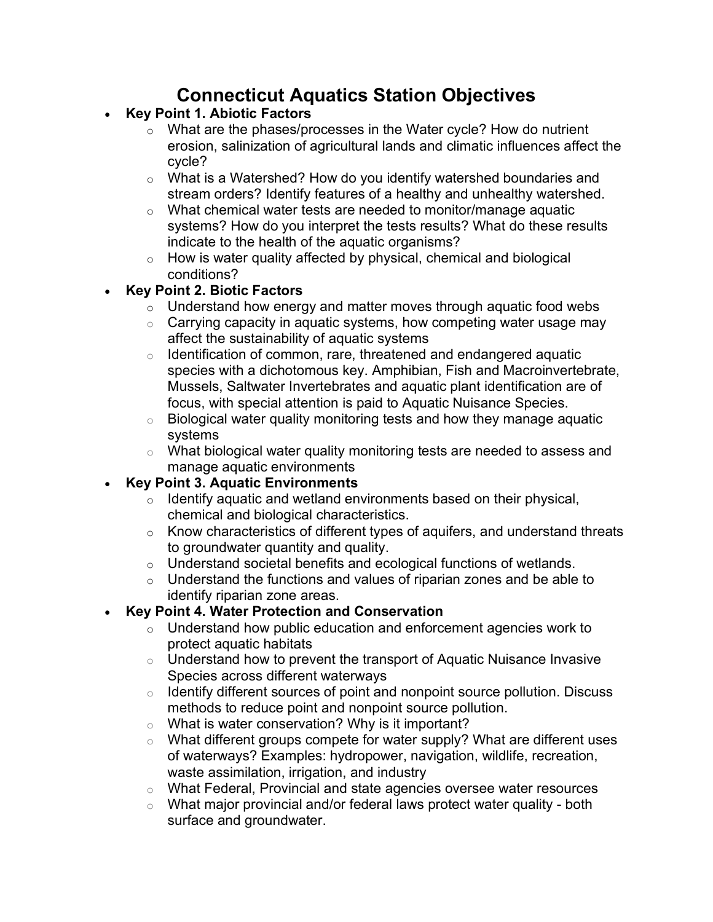# **Connecticut Aquatics Station Objectives**

- **Key Point 1. Abiotic Factors**
	- o What are the phases/processes in the Water cycle? How do nutrient erosion, salinization of agricultural lands and climatic influences affect the cycle?
	- o What is a Watershed? How do you identify watershed boundaries and stream orders? Identify features of a healthy and unhealthy watershed.
	- o What chemical water tests are needed to monitor/manage aquatic systems? How do you interpret the tests results? What do these results indicate to the health of the aquatic organisms?
	- o How is water quality affected by physical, chemical and biological conditions?

#### • **Key Point 2. Biotic Factors**

- $\circ$  Understand how energy and matter moves through aquatic food webs
- $\circ$  Carrying capacity in aquatic systems, how competing water usage may affect the sustainability of aquatic systems
- $\circ$  Identification of common, rare, threatened and endangered aquatic species with a dichotomous key. Amphibian, Fish and Macroinvertebrate, Mussels, Saltwater Invertebrates and aquatic plant identification are of focus, with special attention is paid to Aquatic Nuisance Species.
- o Biological water quality monitoring tests and how they manage aquatic systems
- o What biological water quality monitoring tests are needed to assess and manage aquatic environments

### • **Key Point 3. Aquatic Environments**

- $\circ$  Identify aquatic and wetland environments based on their physical, chemical and biological characteristics.
- $\circ$  Know characteristics of different types of aquifers, and understand threats to groundwater quantity and quality.
- o Understand societal benefits and ecological functions of wetlands.
- $\circ$  Understand the functions and values of riparian zones and be able to identify riparian zone areas.

### • **Key Point 4. Water Protection and Conservation**

- o Understand how public education and enforcement agencies work to protect aquatic habitats
- $\circ$  Understand how to prevent the transport of Aquatic Nuisance Invasive Species across different waterways
- $\circ$  Identify different sources of point and nonpoint source pollution. Discuss methods to reduce point and nonpoint source pollution.
- $\circ$  What is water conservation? Why is it important?
- $\circ$  What different groups compete for water supply? What are different uses of waterways? Examples: hydropower, navigation, wildlife, recreation, waste assimilation, irrigation, and industry
- o What Federal, Provincial and state agencies oversee water resources
- $\circ$  What major provincial and/or federal laws protect water quality both surface and groundwater.